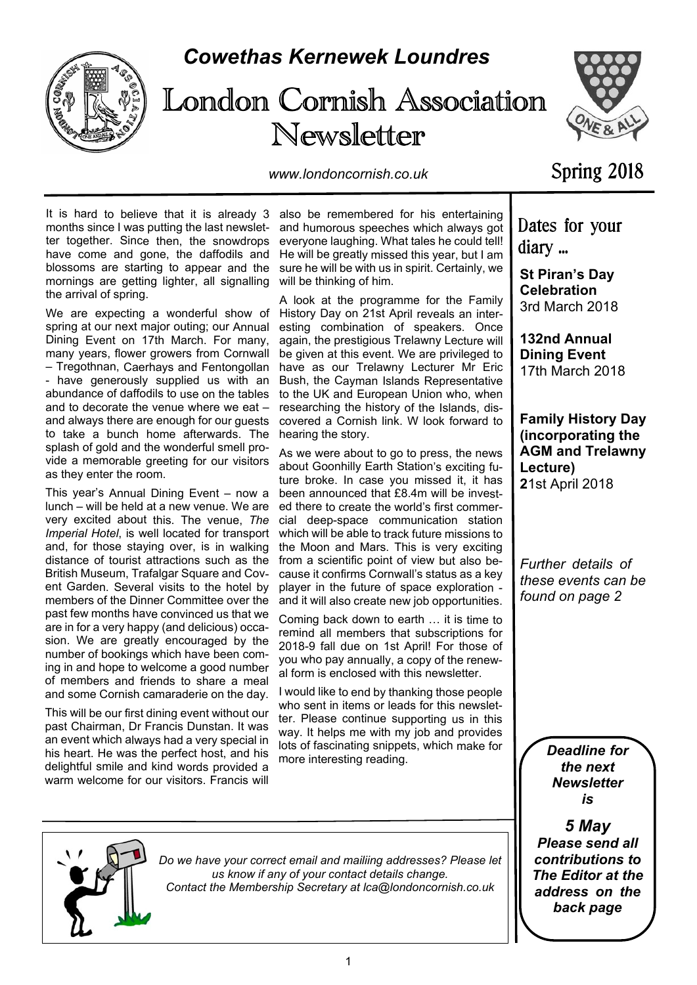

# *Cowethas Kernewek Loundres*





*www.londoncornish.co.uk*

## Spring 2018

months since I was putting the last newsletter together. Since then, the snowdrops have come and gone, the daffodils and blossoms are starting to appear and the mornings are getting lighter, all signalling the arrival of spring.

We are expecting a wonderful show of spring at our next major outing; our Annual Dining Event on 17th March. For many, many years, flower growers from Cornwall – Tregothnan, Caerhays and Fentongollan - have generously supplied us with an abundance of daffodils to use on the tables and to decorate the venue where we eat – and always there are enough for our guests to take a bunch home afterwards. The splash of gold and the wonderful smell provide a memorable greeting for our visitors as they enter the room.

This year's Annual Dining Event – now a lunch – will be held at a new venue. We are very excited about this. The venue, *The Imperial Hotel*, is well located for transport and, for those staying over, is in walking distance of tourist attractions such as the British Museum, Trafalgar Square and Covent Garden. Several visits to the hotel by members of the Dinner Committee over the past few months have convinced us that we are in for a very happy (and delicious) occasion. We are greatly encouraged by the number of bookings which have been coming in and hope to welcome a good number of members and friends to share a meal and some Cornish camaraderie on the day.

This will be our first dining event without our past Chairman, Dr Francis Dunstan. It was an event which always had a very special in his heart. He was the perfect host, and his delightful smile and kind words provided a warm welcome for our visitors. Francis will

It is hard to believe that it is already 3 also be remembered for his entertaining and humorous speeches which always got everyone laughing. What tales he could tell! He will be greatly missed this year, but I am sure he will be with us in spirit. Certainly, we will be thinking of him.

> A look at the programme for the Family History Day on 21st April reveals an interesting combination of speakers. Once again, the prestigious Trelawny Lecture will be given at this event. We are privileged to have as our Trelawny Lecturer Mr Eric Bush, the Cayman Islands Representative to the UK and European Union who, when researching the history of the Islands, discovered a Cornish link. W look forward to hearing the story.

> As we were about to go to press, the news about Goonhilly Earth Station's exciting future broke. In case you missed it, it has been announced that £8.4m will be invested there to create the world's first commercial deep-space communication station which will be able to track future missions to the Moon and Mars. This is very exciting from a scientific point of view but also because it confirms Cornwall's status as a key player in the future of space exploration and it will also create new job opportunities.

> Coming back down to earth … it is time to remind all members that subscriptions for 2018-9 fall due on 1st April! For those of you who pay annually, a copy of the renewal form is enclosed with this newsletter.

> I would like to end by thanking those people who sent in items or leads for this newsletter. Please continue supporting us in this way. It helps me with my job and provides lots of fascinating snippets, which make for more interesting reading.

Dates for your diary ...

**St Piran's Day Celebration** 3rd March 2018

**132nd Annual Dining Event** 17th March 2018

**Family History Day (incorporating the AGM and Trelawny Lecture) 2**1st April 2018

*Further details of these events can be found on page 2*

> *Deadline for the next Newsletter is*

*5 May Please send all contributions to The Editor at the address on the back page*



*Do we have your correct email and mailiing addresses? Please let us know if any of your contact details change. Contact the Membership Secretary at lca@londoncornish.co.uk*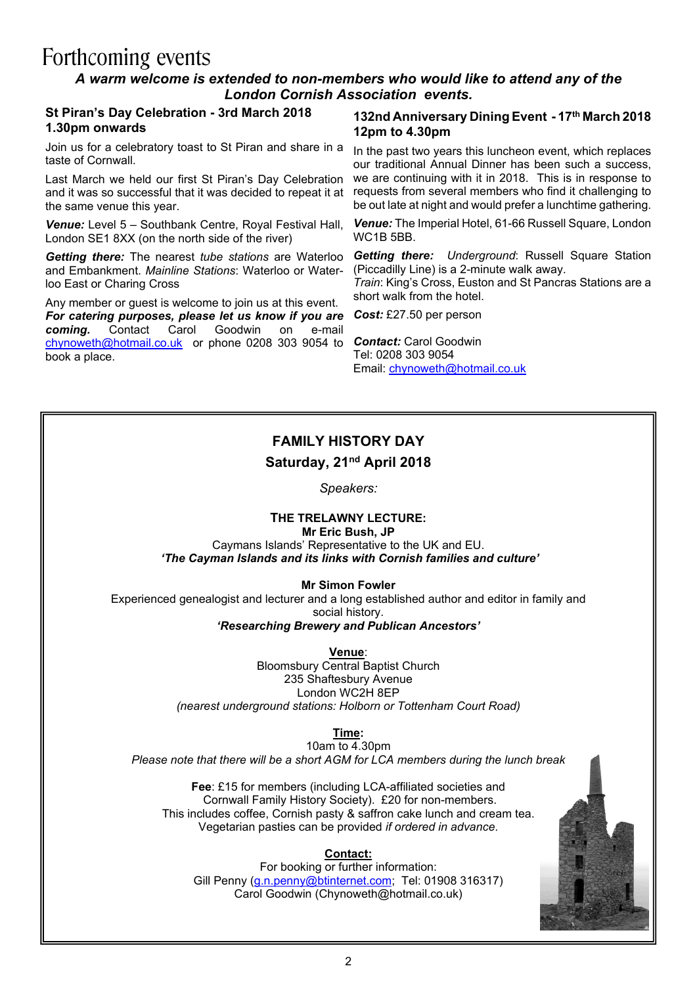# Forthcoming events

#### *A warm welcome is extended to non-members who would like to attend any of the London Cornish Association events.*

#### **St Piran's Day Celebration - 3rd March 2018 1.30pm onwards**

Join us for a celebratory toast to St Piran and share in a taste of Cornwall.

Last March we held our first St Piran's Day Celebration and it was so successful that it was decided to repeat it at the same venue this year.

*Venue:* Level 5 – Southbank Centre, Royal Festival Hall, London SE1 8XX (on the north side of the river)

*Getting there:* The nearest *tube stations* are Waterloo and Embankment. *Mainline Stations*: Waterloo or Waterloo East or Charing Cross

Any member or guest is welcome to join us at this event. **For catering purposes, please let us know if you are coming.** Contact Carol Goodwin on e-mail **Goodwin** on e-mail chynoweth@hotmail.co.uk or phone 0208 303 9054 to *Contact:* Carol Goodwin book a place.

#### **132nd Anniversary Dining Event - 17th March 2018 12pm to 4.30pm**

In the past two years this luncheon event, which replaces our traditional Annual Dinner has been such a success, we are continuing with it in 2018. This is in response to requests from several members who find it challenging to be out late at night and would prefer a lunchtime gathering.

*Venue:* The Imperial Hotel, 61-66 Russell Square, London WC1B 5BB.

*Getting there: Underground: Russell Square Station* (Piccadilly Line) is a 2-minute walk away.

*Train*: King's Cross, Euston and St Pancras Stations are a short walk from the hotel.

*Cost:* £27.50 per person

Tel: 0208 303 9054 Email: chynoweth@hotmail.co.uk

### **FAMILY HISTORY DAY Saturday, 21nd April 2018**

*Speakers:*

### **THE TRELAWNY LECTURE:**

**Mr Eric Bush, JP**

Caymans Islands' Representative to the UK and EU.  *'The Cayman Islands and its links with Cornish families and culture'*

#### **Mr Simon Fowler**

Experienced genealogist and lecturer and a long established author and editor in family and social history. *'Researching Brewery and Publican Ancestors'*

**Venue**:

Bloomsbury Central Baptist Church 235 Shaftesbury Avenue London WC2H 8EP *(nearest underground stations: Holborn or Tottenham Court Road)*

**Time:**

10am to 4.30pm *Please note that there will be a short AGM for LCA members during the lunch break*

**Fee**: £15 for members (including LCA-affiliated societies and Cornwall Family History Society). £20 for non-members. This includes coffee, Cornish pasty & saffron cake lunch and cream tea. Vegetarian pasties can be provided *if ordered in advance*.

#### **Contact:**

For booking or further information: Gill Penny (g.n.penny@btinternet.com; Tel: 01908 316317) Carol Goodwin (Chynoweth@hotmail.co.uk)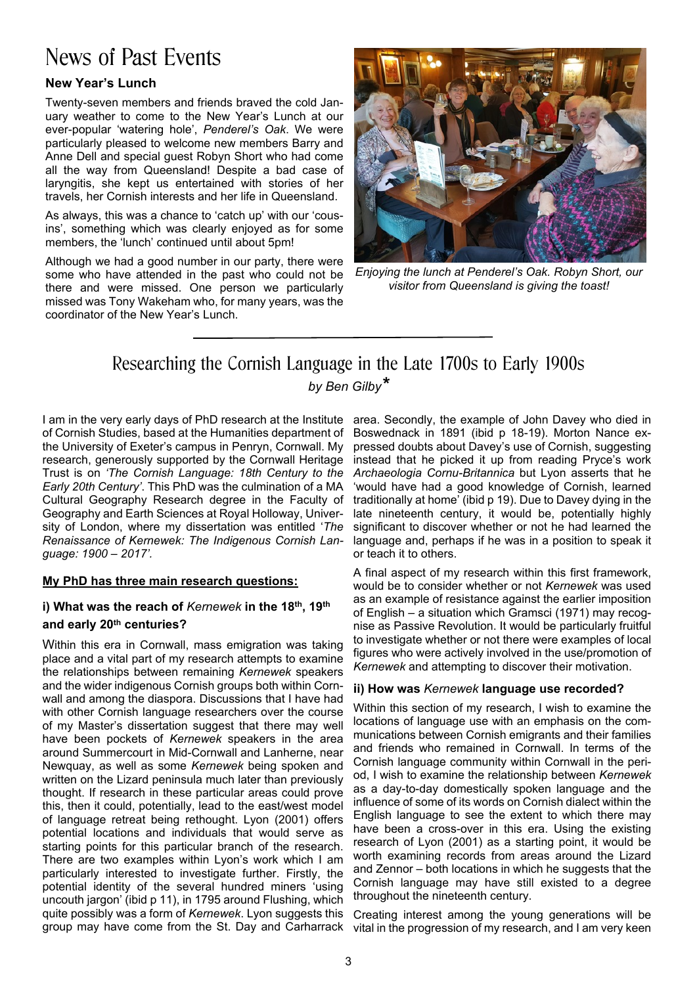# News of Past Events

#### **New Year's Lunch**

Twenty-seven members and friends braved the cold January weather to come to the New Year's Lunch at our ever-popular 'watering hole', *Penderel's Oak*. We were particularly pleased to welcome new members Barry and Anne Dell and special guest Robyn Short who had come all the way from Queensland! Despite a bad case of laryngitis, she kept us entertained with stories of her travels, her Cornish interests and her life in Queensland.

As always, this was a chance to 'catch up' with our 'cousins', something which was clearly enjoyed as for some members, the 'lunch' continued until about 5pm!

Although we had a good number in our party, there were some who have attended in the past who could not be there and were missed. One person we particularly missed was Tony Wakeham who, for many years, was the coordinator of the New Year's Lunch.



*Enjoying the lunch at Penderel's Oak. Robyn Short, our visitor from Queensland is giving the toast!*

### Researching the Cornish Language in the Late 1700s to Early 1900s *by Ben Gilby\**

I am in the very early days of PhD research at the Institute area. Secondly, the example of John Davey who died in of Cornish Studies, based at the Humanities department of the University of Exeter's campus in Penryn, Cornwall. My research, generously supported by the Cornwall Heritage Trust is on *'The Cornish Language: 18th Century to the Early 20th Century'*. This PhD was the culmination of a MA Cultural Geography Research degree in the Faculty of Geography and Earth Sciences at Royal Holloway, University of London, where my dissertation was entitled '*The Renaissance of Kernewek: The Indigenous Cornish Language: 1900 – 2017'.*

#### **My PhD has three main research questions:**

#### **i) What was the reach of** *Kernewek* **in the 18th, 19th and early 20th centuries?**

Within this era in Cornwall, mass emigration was taking place and a vital part of my research attempts to examine the relationships between remaining *Kernewek* speakers and the wider indigenous Cornish groups both within Cornwall and among the diaspora. Discussions that I have had with other Cornish language researchers over the course of my Master's dissertation suggest that there may well have been pockets of *Kernewek* speakers in the area around Summercourt in Mid-Cornwall and Lanherne, near Newquay, as well as some *Kernewek* being spoken and written on the Lizard peninsula much later than previously thought. If research in these particular areas could prove this, then it could, potentially, lead to the east/west model of language retreat being rethought. Lyon (2001) offers potential locations and individuals that would serve as starting points for this particular branch of the research. There are two examples within Lyon's work which I am particularly interested to investigate further. Firstly, the potential identity of the several hundred miners 'using uncouth jargon' (ibid p 11), in 1795 around Flushing, which quite possibly was a form of *Kernewek*. Lyon suggests this group may have come from the St. Day and Carharrack

Boswednack in 1891 (ibid p 18-19). Morton Nance expressed doubts about Davey's use of Cornish, suggesting instead that he picked it up from reading Pryce's work *Archaeologia Cornu-Britannica* but Lyon asserts that he 'would have had a good knowledge of Cornish, learned traditionally at home' (ibid p 19). Due to Davey dying in the late nineteenth century, it would be, potentially highly significant to discover whether or not he had learned the language and, perhaps if he was in a position to speak it or teach it to others.

A final aspect of my research within this first framework, would be to consider whether or not *Kernewek* was used as an example of resistance against the earlier imposition of English – a situation which Gramsci (1971) may recognise as Passive Revolution. It would be particularly fruitful to investigate whether or not there were examples of local figures who were actively involved in the use/promotion of *Kernewek* and attempting to discover their motivation.

#### **ii) How was** *Kernewek* **language use recorded?**

Within this section of my research, I wish to examine the locations of language use with an emphasis on the communications between Cornish emigrants and their families and friends who remained in Cornwall. In terms of the Cornish language community within Cornwall in the period, I wish to examine the relationship between *Kernewek* as a day-to-day domestically spoken language and the influence of some of its words on Cornish dialect within the English language to see the extent to which there may have been a cross-over in this era. Using the existing research of Lyon (2001) as a starting point, it would be worth examining records from areas around the Lizard and Zennor – both locations in which he suggests that the Cornish language may have still existed to a degree throughout the nineteenth century.

Creating interest among the young generations will be vital in the progression of my research, and I am very keen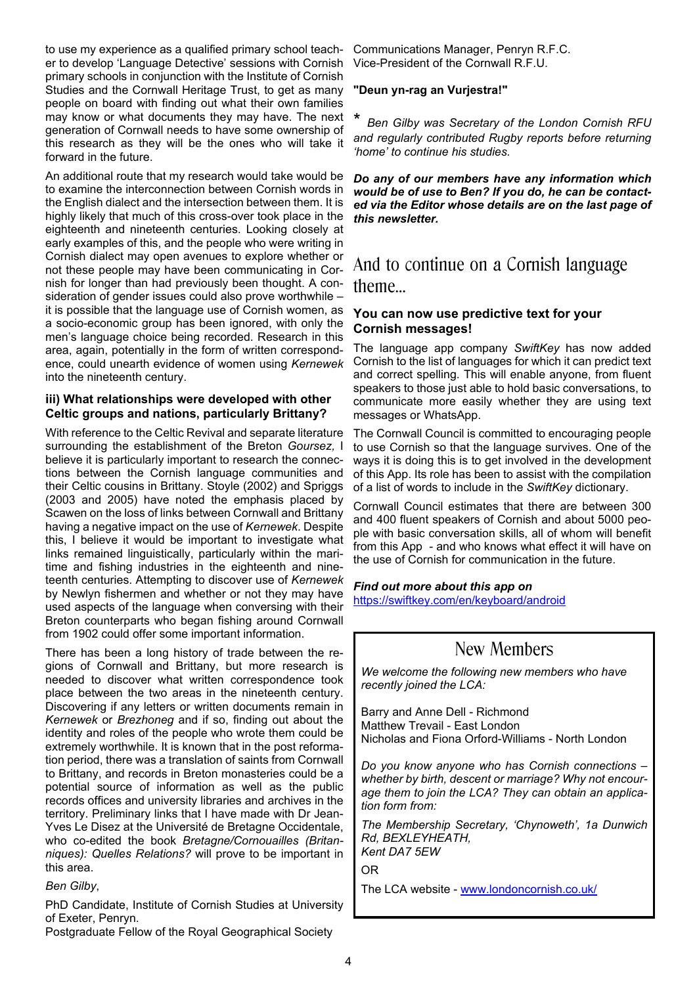to use my experience as a qualified primary school teacher to develop 'Language Detective' sessions with Cornish primary schools in conjunction with the Institute of Cornish Studies and the Cornwall Heritage Trust, to get as many people on board with finding out what their own families may know or what documents they may have. The next generation of Cornwall needs to have some ownership of this research as they will be the ones who will take it forward in the future.

An additional route that my research would take would be to examine the interconnection between Cornish words in the English dialect and the intersection between them. It is highly likely that much of this cross-over took place in the eighteenth and nineteenth centuries. Looking closely at early examples of this, and the people who were writing in Cornish dialect may open avenues to explore whether or not these people may have been communicating in Cornish for longer than had previously been thought. A consideration of gender issues could also prove worthwhile – it is possible that the language use of Cornish women, as a socio-economic group has been ignored, with only the men's language choice being recorded. Research in this area, again, potentially in the form of written correspondence, could unearth evidence of women using *Kernewek* into the nineteenth century.

#### **iii) What relationships were developed with other Celtic groups and nations, particularly Brittany?**

With reference to the Celtic Revival and separate literature surrounding the establishment of the Breton *Goursez,* I believe it is particularly important to research the connections between the Cornish language communities and their Celtic cousins in Brittany. Stoyle (2002) and Spriggs (2003 and 2005) have noted the emphasis placed by Scawen on the loss of links between Cornwall and Brittany having a negative impact on the use of *Kernewek*. Despite this, I believe it would be important to investigate what links remained linguistically, particularly within the maritime and fishing industries in the eighteenth and nineteenth centuries. Attempting to discover use of *Kernewek* by Newlyn fishermen and whether or not they may have used aspects of the language when conversing with their Breton counterparts who began fishing around Cornwall from 1902 could offer some important information.

There has been a long history of trade between the regions of Cornwall and Brittany, but more research is needed to discover what written correspondence took place between the two areas in the nineteenth century. Discovering if any letters or written documents remain in *Kernewek* or *Brezhoneg* and if so, finding out about the identity and roles of the people who wrote them could be extremely worthwhile. It is known that in the post reformation period, there was a translation of saints from Cornwall to Brittany, and records in Breton monasteries could be a potential source of information as well as the public records offices and university libraries and archives in the territory. Preliminary links that I have made with Dr Jean-Yves Le Disez at the Université de Bretagne Occidentale, who co-edited the book *Bretagne/Cornouailles (Britanniques): Quelles Relations?* will prove to be important in this area.

*Ben Gilby*,

PhD Candidate, Institute of Cornish Studies at University of Exeter, Penryn.

Postgraduate Fellow of the Royal Geographical Society

Communications Manager, Penryn R.F.C. Vice-President of the Cornwall R.F.U.

#### **"Deun yn-rag an Vurjestra!"**

*Ben Gilby was Secretary of the London Cornish RFU and regularly contributed Rugby reports before returning 'home' to continue his studies.*

*Do any of our members have any information which would be of use to Ben? If you do, he can be contacted via the Editor whose details are on the last page of this newsletter.*

### And to continue on a Cornish language theme…

#### **You can now use predictive text for your Cornish messages!**

The language app company *SwiftKey* has now added Cornish to the list of languages for which it can predict text and correct spelling. This will enable anyone, from fluent speakers to those just able to hold basic conversations, to communicate more easily whether they are using text messages or WhatsApp.

The Cornwall Council is committed to encouraging people to use Cornish so that the language survives. One of the ways it is doing this is to get involved in the development of this App. Its role has been to assist with the compilation of a list of words to include in the *SwiftKey* dictionary.

Cornwall Council estimates that there are between 300 and 400 fluent speakers of Cornish and about 5000 people with basic conversation skills, all of whom will benefit from this App - and who knows what effect it will have on the use of Cornish for communication in the future.

*Find out more about this app on* <https://swiftkey.com/en/keyboard/android>

### New Members

*We welcome the following new members who have recently joined the LCA:*

Barry and Anne Dell - Richmond Matthew Trevail - East London Nicholas and Fiona Orford-Williams - North London

*Do you know anyone who has Cornish connections – whether by birth, descent or marriage? Why not encourage them to join the LCA? They can obtain an application form from:*

*The Membership Secretary, 'Chynoweth', 1a Dunwich Rd, BEXLEYHEATH, Kent DA7 5EW*

OR

The LCA website - www.londoncornish.co.uk/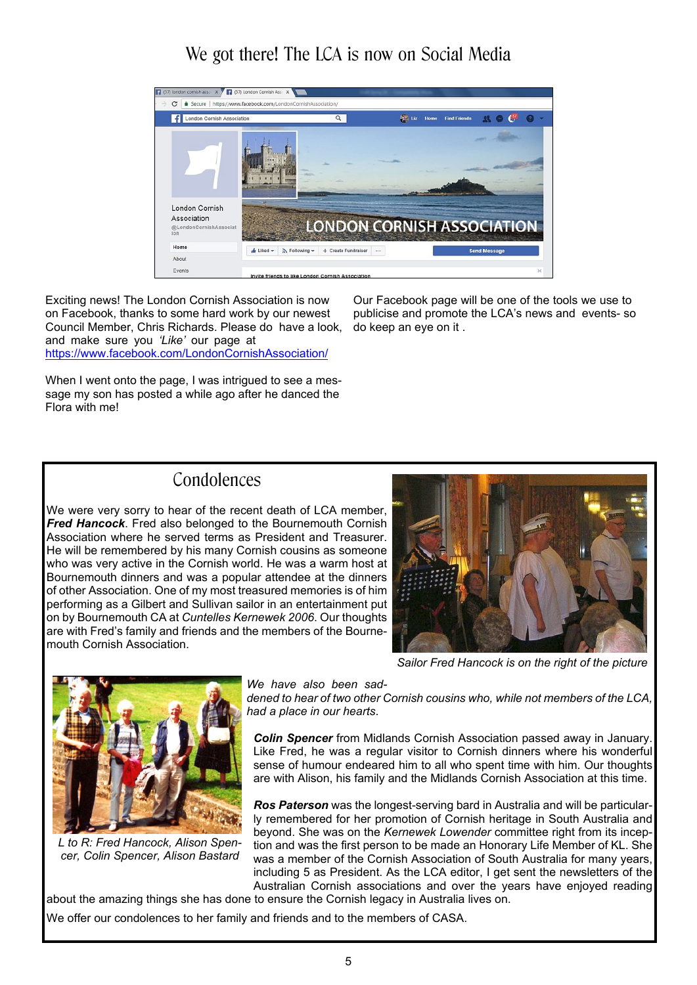### We got there! The LCA is now on Social Media



Exciting news! The London Cornish Association is now on Facebook, thanks to some hard work by our newest Council Member, Chris Richards. Please do have a look, do keep an eye on it . and make sure you *'Like'* our page at https://www.facebook.com/LondonCornishAssociation/

Our Facebook page will be one of the tools we use to publicise and promote the LCA's news and events- so

When I went onto the page, I was intrigued to see a message my son has posted a while ago after he danced the Flora with me!

### Condolences

We were very sorry to hear of the recent death of LCA member, *Fred Hancock*. Fred also belonged to the Bournemouth Cornish Association where he served terms as President and Treasurer. He will be remembered by his many Cornish cousins as someone who was very active in the Cornish world. He was a warm host at Bournemouth dinners and was a popular attendee at the dinners of other Association. One of my most treasured memories is of him performing as a Gilbert and Sullivan sailor in an entertainment put on by Bournemouth CA at *Cuntelles Kernewek 2006*. Our thoughts are with Fred's family and friends and the members of the Bournemouth Cornish Association.



*Sailor Fred Hancock is on the right of the picture*



*L to R: Fred Hancock, Alison Spencer, Colin Spencer, Alison Bastard*

*We have also been sad-*

*dened to hear of two other Cornish cousins who, while not members of the LCA, had a place in our hearts*.

*Colin Spencer* from Midlands Cornish Association passed away in January. Like Fred, he was a regular visitor to Cornish dinners where his wonderful sense of humour endeared him to all who spent time with him. Our thoughts are with Alison, his family and the Midlands Cornish Association at this time.

*Ros Paterson* was the longest-serving bard in Australia and will be particularly remembered for her promotion of Cornish heritage in South Australia and beyond. She was on the *Kernewek Lowender* committee right from its inception and was the first person to be made an Honorary Life Member of KL. She was a member of the Cornish Association of South Australia for many years, including 5 as President. As the LCA editor, I get sent the newsletters of the Australian Cornish associations and over the years have enjoyed reading

about the amazing things she has done to ensure the Cornish legacy in Australia lives on.

We offer our condolences to her family and friends and to the members of CASA.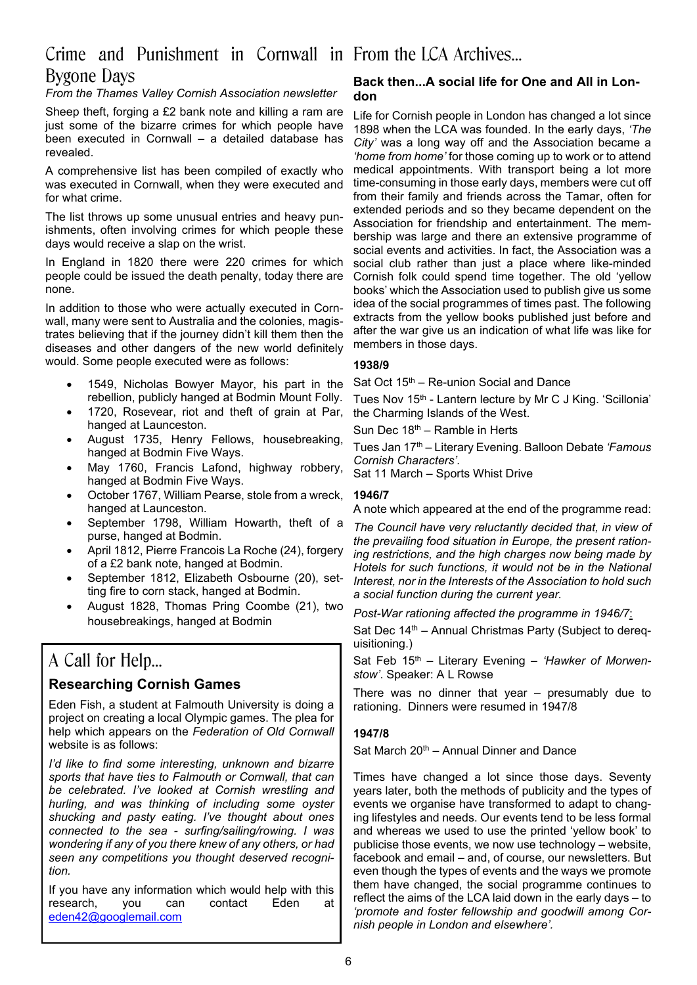### Crime and Punishment in Cornwall in From the LCA Archives… Bygone Days

#### *From the Thames Valley Cornish Association newsletter*

Sheep theft, forging a £2 bank note and killing a ram are just some of the bizarre crimes for which people have been executed in Cornwall – a detailed database has revealed.

A comprehensive list has been compiled of exactly who was executed in Cornwall, when they were executed and for what crime.

The list throws up some unusual entries and heavy punishments, often involving crimes for which people these days would receive a slap on the wrist.

In England in 1820 there were 220 crimes for which people could be issued the death penalty, today there are none.

In addition to those who were actually executed in Cornwall, many were sent to Australia and the colonies, magistrates believing that if the journey didn't kill them then the diseases and other dangers of the new world definitely would. Some people executed were as follows:

- 1549, Nicholas Bowyer Mayor, his part in the rebellion, publicly hanged at Bodmin Mount Folly.
- 1720, Rosevear, riot and theft of grain at Par, hanged at Launceston.
- August 1735, Henry Fellows, housebreaking, hanged at Bodmin Five Ways.
- May 1760, Francis Lafond, highway robbery, hanged at Bodmin Five Ways.
- October 1767, William Pearse, stole from a wreck, hanged at Launceston.
- September 1798, William Howarth, theft of a purse, hanged at Bodmin.
- · April 1812, Pierre Francois La Roche (24), forgery of a £2 bank note, hanged at Bodmin.
- · September 1812, Elizabeth Osbourne (20), setting fire to corn stack, hanged at Bodmin.
- · August 1828, Thomas Pring Coombe (21), two housebreakings, hanged at Bodmin

### A Call for Help…

#### **Researching Cornish Games**

Eden Fish, a student at Falmouth University is doing a project on creating a local Olympic games. The plea for help which appears on the *Federation of Old Cornwall* website is as follows:

*I'd like to find some interesting, unknown and bizarre sports that have ties to Falmouth or Cornwall, that can be celebrated. I've looked at Cornish wrestling and hurling, and was thinking of including some oyster shucking and pasty eating. I've thought about ones connected to the sea - surfing/sailing/rowing. I was wondering if any of you there knew of any others, or had seen any competitions you thought deserved recognition.*

If you have any information which would help with this research, vou can contact Eden at research, you can contact Eden at eden42@googlemail.com

#### **Back then...A social life for One and All in London**

Life for Cornish people in London has changed a lot since 1898 when the LCA was founded. In the early days, *'The City'* was a long way off and the Association became a *'home from home'* for those coming up to work or to attend medical appointments. With transport being a lot more time-consuming in those early days, members were cut off from their family and friends across the Tamar, often for extended periods and so they became dependent on the Association for friendship and entertainment. The membership was large and there an extensive programme of social events and activities. In fact, the Association was a social club rather than just a place where like-minded Cornish folk could spend time together. The old 'yellow books' which the Association used to publish give us some idea of the social programmes of times past. The following extracts from the yellow books published just before and after the war give us an indication of what life was like for members in those days.

#### **1938/9**

Sat Oct  $15<sup>th</sup>$  – Re-union Social and Dance

Tues Nov 15<sup>th</sup> - Lantern lecture by Mr C J King. 'Scillonia' the Charming Islands of the West.

Sun Dec 18th – Ramble in Herts

Tues Jan 17th – Literary Evening. Balloon Debate *'Famous Cornish Characters'.*

Sat 11 March – Sports Whist Drive

#### **1946/7**

A note which appeared at the end of the programme read:

*The Council have very reluctantly decided that, in view of the prevailing food situation in Europe, the present rationing restrictions, and the high charges now being made by Hotels for such functions, it would not be in the National Interest, nor in the Interests of the Association to hold such a social function during the current year.*

*Post-War rationing affected the programme in 1946/7*:

Sat Dec 14<sup>th</sup> – Annual Christmas Party (Subject to derequisitioning.)

Sat Feb 15<sup>th</sup> - Literary Evening - 'Hawker of Morwen*stow'*. Speaker: A L Rowse

There was no dinner that year – presumably due to rationing. Dinners were resumed in 1947/8

#### **1947/8**

Sat March  $20<sup>th</sup>$  – Annual Dinner and Dance

Times have changed a lot since those days. Seventy years later, both the methods of publicity and the types of events we organise have transformed to adapt to changing lifestyles and needs. Our events tend to be less formal and whereas we used to use the printed 'yellow book' to publicise those events, we now use technology – website, facebook and email – and, of course, our newsletters. But even though the types of events and the ways we promote them have changed, the social programme continues to reflect the aims of the LCA laid down in the early days – to *'promote and foster fellowship and goodwill among Cornish people in London and elsewhere'.*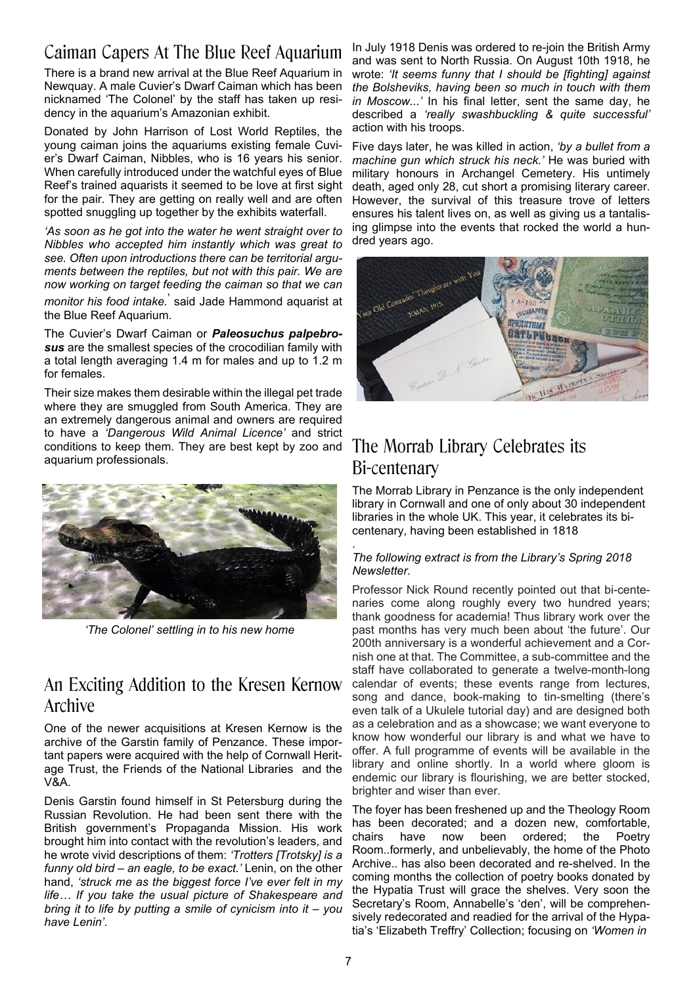## Caiman Capers At The Blue Reef Aquarium

There is a brand new arrival at the Blue Reef Aquarium in Newquay. A male Cuvier's Dwarf Caiman which has been nicknamed 'The Colonel' by the staff has taken up residency in the aquarium's Amazonian exhibit.

Donated by John Harrison of Lost World Reptiles, the young caiman joins the aquariums existing female Cuvier's Dwarf Caiman, Nibbles, who is 16 years his senior. When carefully introduced under the watchful eyes of Blue Reef's trained aquarists it seemed to be love at first sight for the pair. They are getting on really well and are often spotted snuggling up together by the exhibits waterfall.

*'As soon as he got into the water he went straight over to Nibbles who accepted him instantly which was great to see. Often upon introductions there can be territorial arguments between the reptiles, but not with this pair. We are now working on target feeding the caiman so that we can*

*monitor his food intake.*' said Jade Hammond aquarist at the Blue Reef Aquarium.

The Cuvier's Dwarf Caiman or *Paleosuchus palpebrosus* are the smallest species of the crocodilian family with a total length averaging 1.4 m for males and up to 1.2 m for females.

Their size makes them desirable within the illegal pet trade where they are smuggled from South America. They are an extremely dangerous animal and owners are required to have a *'Dangerous Wild Animal Licence'* and strict conditions to keep them. They are best kept by zoo and aquarium professionals.



*'The Colonel' settling in to his new home*

### An Exciting Addition to the Kresen Kernow Archive

One of the newer acquisitions at Kresen Kernow is the archive of the Garstin family of Penzance. These important papers were acquired with the help of Cornwall Heritage Trust, the Friends of the National Libraries and the V&A.

Denis Garstin found himself in St Petersburg during the Russian Revolution. He had been sent there with the British government's Propaganda Mission. His work brought him into contact with the revolution's leaders, and he wrote vivid descriptions of them: *'Trotters [Trotsky] is a funny old bird – an eagle, to be exact.'* Lenin, on the other hand, *'struck me as the biggest force I've ever felt in my life… If you take the usual picture of Shakespeare and bring it to life by putting a smile of cynicism into it – you have Lenin'*.

In July 1918 Denis was ordered to re-join the British Army and was sent to North Russia. On August 10th 1918, he wrote: *'It seems funny that I should be [fighting] against the Bolsheviks, having been so much in touch with them in Moscow...'* In his final letter, sent the same day, he described a *'really swashbuckling & quite successful'* action with his troops.

Five days later, he was killed in action, *'by a bullet from a machine gun which struck his neck.'* He was buried with military honours in Archangel Cemetery. His untimely death, aged only 28, cut short a promising literary career. However, the survival of this treasure trove of letters ensures his talent lives on, as well as giving us a tantalising glimpse into the events that rocked the world a hundred years ago.



### The Morrab Library Celebrates its Bi-centenary

The Morrab Library in Penzance is the only independent library in Cornwall and one of only about 30 independent libraries in the whole UK. This year, it celebrates its bicentenary, having been established in 1818

#### . *The following extract is from the Library's Spring 2018 Newsletter.*

Professor Nick Round recently pointed out that bi-centenaries come along roughly every two hundred years; thank goodness for academia! Thus library work over the past months has very much been about 'the future'. Our 200th anniversary is a wonderful achievement and a Cornish one at that. The Committee, a sub-committee and the staff have collaborated to generate a twelve-month-long calendar of events; these events range from lectures, song and dance, book-making to tin-smelting (there's even talk of a Ukulele tutorial day) and are designed both as a celebration and as a showcase; we want everyone to know how wonderful our library is and what we have to offer. A full programme of events will be available in the library and online shortly. In a world where gloom is endemic our library is flourishing, we are better stocked, brighter and wiser than ever.

The foyer has been freshened up and the Theology Room has been decorated; and a dozen new, comfortable, chairs have now been ordered; the Poetry Room..formerly, and unbelievably, the home of the Photo Archive.. has also been decorated and re-shelved. In the coming months the collection of poetry books donated by the Hypatia Trust will grace the shelves. Very soon the Secretary's Room, Annabelle's 'den', will be comprehensively redecorated and readied for the arrival of the Hypatia's 'Elizabeth Treffry' Collection; focusing on *'Women in*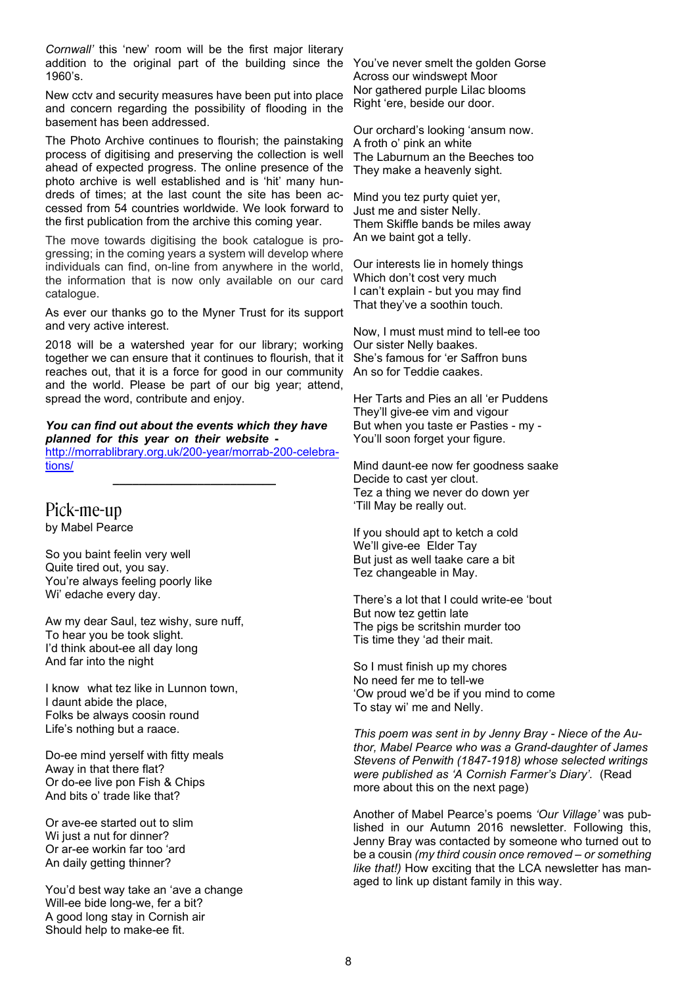*Cornwall'* this 'new' room will be the first major literary addition to the original part of the building since the 1960's.

New cctv and security measures have been put into place and concern regarding the possibility of flooding in the basement has been addressed.

The Photo Archive continues to flourish; the painstaking process of digitising and preserving the collection is well ahead of expected progress. The online presence of the photo archive is well established and is 'hit' many hundreds of times; at the last count the site has been accessed from 54 countries worldwide. We look forward to the first publication from the archive this coming year.

The move towards digitising the book catalogue is progressing; in the coming years a system will develop where individuals can find, on-line from anywhere in the world, the information that is now only available on our card catalogue.

As ever our thanks go to the Myner Trust for its support and very active interest.

2018 will be a watershed year for our library; working together we can ensure that it continues to flourish, that it reaches out, that it is a force for good in our community and the world. Please be part of our big year; attend, spread the word, contribute and enjoy.

*You can find out about the events which they have planned for this year on their website* http://morrablibrary.org.uk/200-year/morrab-200-celebrations/

**\_\_\_\_\_\_\_\_\_\_\_\_\_\_\_\_\_\_\_\_\_\_\_\_\_**

Pick-me-up by Mabel Pearce

So you baint feelin very well Quite tired out, you say. You're always feeling poorly like Wi' edache every day.

Aw my dear Saul, tez wishy, sure nuff, To hear you be took slight. I'd think about-ee all day long And far into the night

I know what tez like in Lunnon town, I daunt abide the place, Folks be always coosin round Life's nothing but a raace.

Do-ee mind yerself with fitty meals Away in that there flat? Or do-ee live pon Fish & Chips And bits o' trade like that?

Or ave-ee started out to slim Wi just a nut for dinner? Or ar-ee workin far too 'ard An daily getting thinner?

You'd best way take an 'ave a change Will-ee bide long-we, fer a bit? A good long stay in Cornish air Should help to make-ee fit.

You've never smelt the golden Gorse Across our windswept Moor Nor gathered purple Lilac blooms Right 'ere, beside our door.

Our orchard's looking 'ansum now. A froth o' pink an white The Laburnum an the Beeches too They make a heavenly sight.

Mind you tez purty quiet yer, Just me and sister Nelly. Them Skiffle bands be miles away An we baint got a telly.

Our interests lie in homely things Which don't cost very much I can't explain - but you may find That they've a soothin touch.

Now, I must must mind to tell-ee too Our sister Nelly baakes. She's famous for 'er Saffron buns An so for Teddie caakes.

Her Tarts and Pies an all 'er Puddens They'll give-ee vim and vigour But when you taste er Pasties - my - You'll soon forget your figure.

Mind daunt-ee now fer goodness saake Decide to cast yer clout. Tez a thing we never do down yer 'Till May be really out.

If you should apt to ketch a cold We'll give-ee Elder Tay But just as well taake care a bit Tez changeable in May.

There's a lot that I could write-ee 'bout But now tez gettin late The pigs be scritshin murder too Tis time they 'ad their mait.

So I must finish up my chores No need fer me to tell-we 'Ow proud we'd be if you mind to come To stay wi' me and Nelly.

*This poem was sent in by Jenny Bray - Niece of the Author, Mabel Pearce who was a Grand-daughter of James Stevens of Penwith (1847-1918) whose selected writings were published as 'A Cornish Farmer's Diary'.* (Read more about this on the next page)

Another of Mabel Pearce's poems *'Our Village'* was published in our Autumn 2016 newsletter. Following this, Jenny Bray was contacted by someone who turned out to be a cousin *(my third cousin once removed – or something like that!)* How exciting that the LCA newsletter has managed to link up distant family in this way.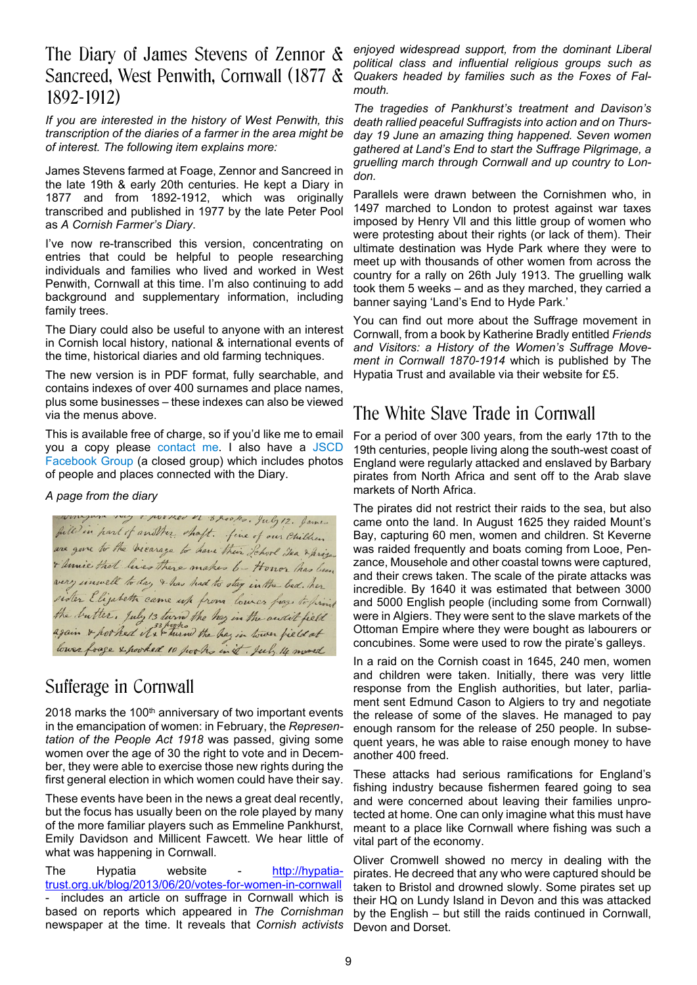### The Diary of James Stevens of Zennor & Sancreed, West Penwith, Cornwall (1877 & 1892-1912)

*If you are interested in the history of West Penwith, this transcription of the diaries of a farmer in the area might be of interest. The following item explains more:*

James Stevens farmed at Foage, Zennor and Sancreed in the late 19th & early 20th centuries. He kept a Diary in 1877 and from 1892-1912, which was originally transcribed and published in 1977 by the late Peter Pool as *A Cornish Farmer's Diary*.

I've now re-transcribed this version, concentrating on entries that could be helpful to people researching individuals and families who lived and worked in West Penwith, Cornwall at this time. I'm also continuing to add background and supplementary information, including family trees.

The Diary could also be useful to anyone with an interest in Cornish local history, national & international events of the time, historical diaries and old farming techniques.

The new version is in PDF format, fully searchable, and contains indexes of over 400 surnames and place names, plus some businesses – these indexes can also be viewed via the menus above.

This is available free of charge, so if you'd like me to email you a copy please contact me. I also have a JSCD Facebook Group (a closed group) which includes photos of people and places connected with the Diary.

#### *A page from the diary*

filled in part of another shaft. July 12. James<br>filled in part of another shaft. Jine of our Children + Unice that lives there makes 6- Honor has been very unwell to day & has had to stay in the bed. her sider Elizabeth came up from lower frage to print the butter. July 13 turn the hey in the audit field lower foage & pooked 10 pooks in it. July 14 mored

### Sufferage in Cornwall

2018 marks the 100<sup>th</sup> anniversary of two important events in the emancipation of women: in February, the *Representation of the People Act 1918* was passed, giving some women over the age of 30 the right to vote and in December, they were able to exercise those new rights during the first general election in which women could have their say.

These events have been in the news a great deal recently, but the focus has usually been on the role played by many of the more familiar players such as Emmeline Pankhurst, Emily Davidson and Millicent Fawcett. We hear little of what was happening in Cornwall.

The Hypatia website - http://hypatiatrust.org.uk/blog/2013/06/20/votes-for-women-in-cornwall includes an article on suffrage in Cornwall which is based on reports which appeared in *The Cornishman* newspaper at the time. It reveals that *Cornish activists*

*enjoyed widespread support, from the dominant Liberal political class and influential religious groups such as Quakers headed by families such as the Foxes of Falmouth.*

*The tragedies of Pankhurst's treatment and Davison's death rallied peaceful Suffragists into action and on Thursday 19 June an amazing thing happened. Seven women gathered at Land's End to start the Suffrage Pilgrimage, a gruelling march through Cornwall and up country to London.*

Parallels were drawn between the Cornishmen who, in 1497 marched to London to protest against war taxes imposed by Henry Vll and this little group of women who were protesting about their rights (or lack of them). Their ultimate destination was Hyde Park where they were to meet up with thousands of other women from across the country for a rally on 26th July 1913. The gruelling walk took them 5 weeks – and as they marched, they carried a banner saying 'Land's End to Hyde Park.'

You can find out more about the Suffrage movement in Cornwall, from a book by Katherine Bradly entitled *Friends and Visitors: a History of the Women's Suffrage Movement in Cornwall 1870-1914* which is published by The Hypatia Trust and available via their website for £5.

### The White Slave Trade in Cornwall

For a period of over 300 years, from the early 17th to the 19th centuries, people living along the south-west coast of England were regularly attacked and enslaved by Barbary pirates from North Africa and sent off to the Arab slave markets of North Africa.

The pirates did not restrict their raids to the sea, but also came onto the land. In August 1625 they raided Mount's Bay, capturing 60 men, women and children. St Keverne was raided frequently and boats coming from Looe, Penzance, Mousehole and other coastal towns were captured, and their crews taken. The scale of the pirate attacks was incredible. By 1640 it was estimated that between 3000 and 5000 English people (including some from Cornwall) were in Algiers. They were sent to the slave markets of the Ottoman Empire where they were bought as labourers or concubines. Some were used to row the pirate's galleys.

In a raid on the Cornish coast in 1645, 240 men, women and children were taken. Initially, there was very little response from the English authorities, but later, parliament sent Edmund Cason to Algiers to try and negotiate the release of some of the slaves. He managed to pay enough ransom for the release of 250 people. In subsequent years, he was able to raise enough money to have another 400 freed.

These attacks had serious ramifications for England's fishing industry because fishermen feared going to sea and were concerned about leaving their families unprotected at home. One can only imagine what this must have meant to a place like Cornwall where fishing was such a vital part of the economy.

Oliver Cromwell showed no mercy in dealing with the pirates. He decreed that any who were captured should be taken to Bristol and drowned slowly. Some pirates set up their HQ on Lundy Island in Devon and this was attacked by the English – but still the raids continued in Cornwall, Devon and Dorset.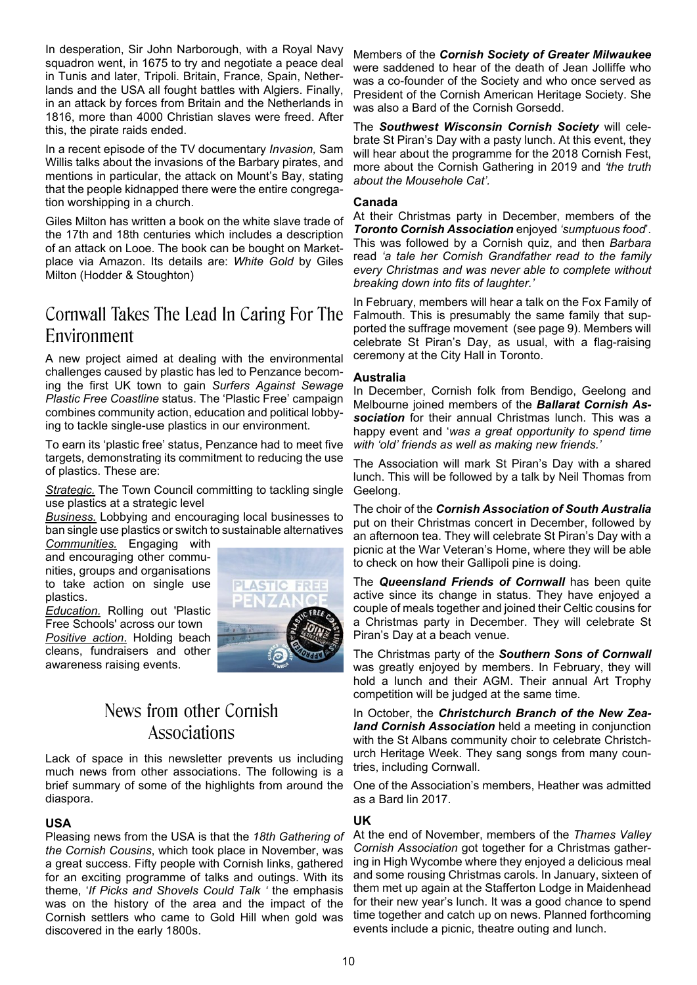In desperation, Sir John Narborough, with a Royal Navy squadron went, in 1675 to try and negotiate a peace deal in Tunis and later, Tripoli. Britain, France, Spain, Netherlands and the USA all fought battles with Algiers. Finally, in an attack by forces from Britain and the Netherlands in 1816, more than 4000 Christian slaves were freed. After this, the pirate raids ended.

In a recent episode of the TV documentary *Invasion,* Sam Willis talks about the invasions of the Barbary pirates, and mentions in particular, the attack on Mount's Bay, stating that the people kidnapped there were the entire congregation worshipping in a church.

Giles Milton has written a book on the white slave trade of the 17th and 18th centuries which includes a description of an attack on Looe. The book can be bought on Marketplace via Amazon. Its details are: *White Gold* by Giles Milton (Hodder & Stoughton)

## Cornwall Takes The Lead In Caring For The Environment

A new project aimed at dealing with the environmental challenges caused by plastic has led to Penzance becoming the first UK town to gain *Surfers Against Sewage Plastic Free Coastline* status. The 'Plastic Free' campaign combines community action, education and political lobbying to tackle single-use plastics in our environment.

To earn its 'plastic free' status, Penzance had to meet five targets, demonstrating its commitment to reducing the use of plastics. These are:

*Strategic.* The Town Council committing to tackling single use plastics at a strategic level

*Business.* Lobbying and encouraging local businesses to ban single use plastics or switch to sustainable alternatives

*Communities.* Engaging with and encouraging other communities, groups and organisations to take action on single use plastics.

*Education.* Rolling out 'Plastic Free Schools' across our town *Positive action*. Holding beach cleans, fundraisers and other awareness raising events.



### News from other Cornish Associations

Lack of space in this newsletter prevents us including much news from other associations. The following is a brief summary of some of the highlights from around the diaspora.

#### **USA**

Pleasing news from the USA is that the *18th Gathering of the Cornish Cousins*, which took place in November, was a great success. Fifty people with Cornish links, gathered for an exciting programme of talks and outings. With its theme, '*If Picks and Shovels Could Talk '* the emphasis was on the history of the area and the impact of the Cornish settlers who came to Gold Hill when gold was discovered in the early 1800s.

Members of the *Cornish Society of Greater Milwaukee* were saddened to hear of the death of Jean Jolliffe who was a co-founder of the Society and who once served as President of the Cornish American Heritage Society. She was also a Bard of the Cornish Gorsedd.

The *Southwest Wisconsin Cornish Society* will celebrate St Piran's Day with a pasty lunch. At this event, they will hear about the programme for the 2018 Cornish Fest, more about the Cornish Gathering in 2019 and *'the truth about the Mousehole Cat'.*

#### **Canada**

At their Christmas party in December, members of the *Toronto Cornish Association* enjoyed *'sumptuous food*'. This was followed by a Cornish quiz, and then *Barbara* read *'a tale her Cornish Grandfather read to the family every Christmas and was never able to complete without breaking down into fits of laughter.'*

In February, members will hear a talk on the Fox Family of Falmouth. This is presumably the same family that supported the suffrage movement (see page 9). Members will celebrate St Piran's Day, as usual, with a flag-raising ceremony at the City Hall in Toronto.

#### **Australia**

In December, Cornish folk from Bendigo, Geelong and Melbourne joined members of the *Ballarat Cornish Association* for their annual Christmas lunch. This was a happy event and '*was a great opportunity to spend time with 'old' friends as well as making new friends.'*

The Association will mark St Piran's Day with a shared lunch. This will be followed by a talk by Neil Thomas from Geelong.

The choir of the *Cornish Association of South Australia* put on their Christmas concert in December, followed by an afternoon tea. They will celebrate St Piran's Day with a picnic at the War Veteran's Home, where they will be able to check on how their Gallipoli pine is doing.

The *Queensland Friends of Cornwall* has been quite active since its change in status. They have enjoyed a couple of meals together and joined their Celtic cousins for a Christmas party in December. They will celebrate St Piran's Day at a beach venue.

The Christmas party of the *Southern Sons of Cornwall* was greatly enjoyed by members. In February, they will hold a lunch and their AGM. Their annual Art Trophy competition will be judged at the same time.

In October, the *Christchurch Branch of the New Zealand Cornish Association* held a meeting in conjunction with the St Albans community choir to celebrate Christchurch Heritage Week. They sang songs from many countries, including Cornwall.

One of the Association's members, Heather was admitted as a Bard lin 2017.

#### **UK**

At the end of November, members of the *Thames Valley Cornish Association* got together for a Christmas gathering in High Wycombe where they enjoyed a delicious meal and some rousing Christmas carols. In January, sixteen of them met up again at the Stafferton Lodge in Maidenhead for their new year's lunch. It was a good chance to spend time together and catch up on news. Planned forthcoming events include a picnic, theatre outing and lunch.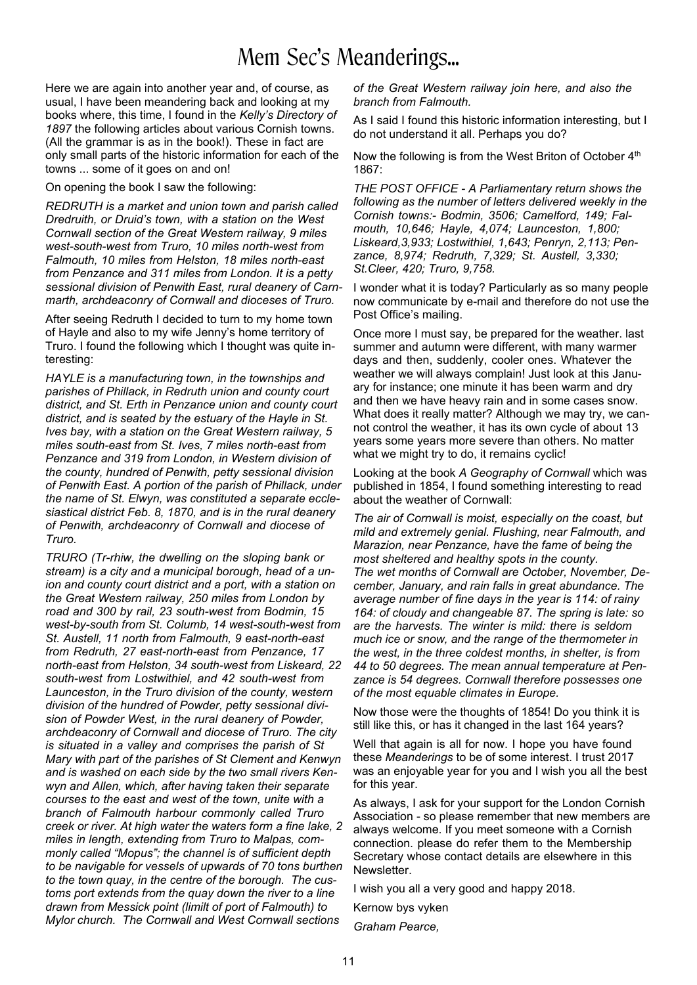# Mem Sec's Meanderings...

Here we are again into another year and, of course, as usual, I have been meandering back and looking at my books where, this time, I found in the *Kelly's Directory of 1897* the following articles about various Cornish towns. (All the grammar is as in the book!). These in fact are only small parts of the historic information for each of the towns ... some of it goes on and on!

On opening the book I saw the following:

*REDRUTH is a market and union town and parish called Dredruith, or Druid's town, with a station on the West Cornwall section of the Great Western railway, 9 miles west-south-west from Truro, 10 miles north-west from Falmouth, 10 miles from Helston, 18 miles north-east from Penzance and 311 miles from London. It is a petty sessional division of Penwith East, rural deanery of Carnmarth, archdeaconry of Cornwall and dioceses of Truro.*

After seeing Redruth I decided to turn to my home town of Hayle and also to my wife Jenny's home territory of Truro. I found the following which I thought was quite interesting:

*HAYLE is a manufacturing town, in the townships and parishes of Phillack, in Redruth union and county court district, and St. Erth in Penzance union and county court district, and is seated by the estuary of the Hayle in St. Ives bay, with a station on the Great Western railway, 5 miles south-east from St. Ives, 7 miles north-east from Penzance and 319 from London, in Western division of the county, hundred of Penwith, petty sessional division of Penwith East. A portion of the parish of Phillack, under the name of St. Elwyn, was constituted a separate ecclesiastical district Feb. 8, 1870, and is in the rural deanery of Penwith, archdeaconry of Cornwall and diocese of Truro.*

*TRURO (Tr-rhiw, the dwelling on the sloping bank or stream) is a city and a municipal borough, head of a union and county court district and a port, with a station on the Great Western railway, 250 miles from London by road and 300 by rail, 23 south-west from Bodmin, 15 west-by-south from St. Columb, 14 west-south-west from St. Austell, 11 north from Falmouth, 9 east-north-east from Redruth, 27 east-north-east from Penzance, 17 north-east from Helston, 34 south-west from Liskeard, 22 south-west from Lostwithiel, and 42 south-west from Launceston, in the Truro division of the county, western division of the hundred of Powder, petty sessional division of Powder West, in the rural deanery of Powder, archdeaconry of Cornwall and diocese of Truro. The city is situated in a valley and comprises the parish of St Mary with part of the parishes of St Clement and Kenwyn and is washed on each side by the two small rivers Kenwyn and Allen, which, after having taken their separate courses to the east and west of the town, unite with a branch of Falmouth harbour commonly called Truro creek or river. At high water the waters form a fine lake, 2 miles in length, extending from Truro to Malpas, commonly called "Mopus"; the channel is of sufficient depth to be navigable for vessels of upwards of 70 tons burthen to the town quay, in the centre of the borough. The customs port extends from the quay down the river to a line drawn from Messick point (limilt of port of Falmouth) to Mylor church. The Cornwall and West Cornwall sections*

*of the Great Western railway join here, and also the branch from Falmouth.*

As I said I found this historic information interesting, but I do not understand it all. Perhaps you do?

Now the following is from the West Briton of October 4<sup>th</sup> 1867:

*THE POST OFFICE - A Parliamentary return shows the following as the number of letters delivered weekly in the Cornish towns:- Bodmin, 3506; Camelford, 149; Falmouth, 10,646; Hayle, 4,074; Launceston, 1,800; Liskeard,3,933; Lostwithiel, 1,643; Penryn, 2,113; Penzance, 8,974; Redruth, 7,329; St. Austell, 3,330; St.Cleer, 420; Truro, 9,758.*

I wonder what it is today? Particularly as so many people now communicate by e-mail and therefore do not use the Post Office's mailing.

Once more I must say, be prepared for the weather. last summer and autumn were different, with many warmer days and then, suddenly, cooler ones. Whatever the weather we will always complain! Just look at this January for instance; one minute it has been warm and dry and then we have heavy rain and in some cases snow. What does it really matter? Although we may try, we cannot control the weather, it has its own cycle of about 13 years some years more severe than others. No matter what we might try to do, it remains cyclic!

Looking at the book *A Geography of Cornwall* which was published in 1854, I found something interesting to read about the weather of Cornwall:

*The air of Cornwall is moist, especially on the coast, but mild and extremely genial. Flushing, near Falmouth, and Marazion, near Penzance, have the fame of being the most sheltered and healthy spots in the county. The wet months of Cornwall are October, November, December, January, and rain falls in great abundance. The average number of fine days in the year is 114: of rainy 164: of cloudy and changeable 87. The spring is late: so are the harvests. The winter is mild: there is seldom much ice or snow, and the range of the thermometer in the west, in the three coldest months, in shelter, is from 44 to 50 degrees. The mean annual temperature at Penzance is 54 degrees. Cornwall therefore possesses one of the most equable climates in Europe.*

Now those were the thoughts of 1854! Do you think it is still like this, or has it changed in the last 164 years?

Well that again is all for now. I hope you have found these *Meanderings* to be of some interest. I trust 2017 was an enjoyable year for you and I wish you all the best for this year.

As always, I ask for your support for the London Cornish Association - so please remember that new members are always welcome. If you meet someone with a Cornish connection. please do refer them to the Membership Secretary whose contact details are elsewhere in this Newsletter.

I wish you all a very good and happy 2018.

Kernow bys vyken

*Graham Pearce,*